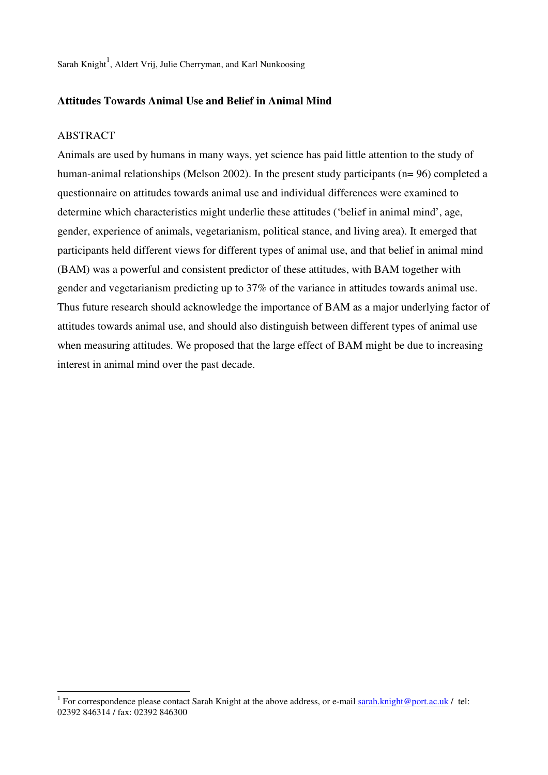Sarah Knight<sup>1</sup>, Aldert Vrij, Julie Cherryman, and Karl Nunkoosing

#### **Attitudes Towards Animal Use and Belief in Animal Mind**

# ABSTRACT

Animals are used by humans in many ways, yet science has paid little attention to the study of human-animal relationships (Melson 2002). In the present study participants (n= 96) completed a questionnaire on attitudes towards animal use and individual differences were examined to determine which characteristics might underlie these attitudes ('belief in animal mind', age, gender, experience of animals, vegetarianism, political stance, and living area). It emerged that participants held different views for different types of animal use, and that belief in animal mind (BAM) was a powerful and consistent predictor of these attitudes, with BAM together with gender and vegetarianism predicting up to 37% of the variance in attitudes towards animal use. Thus future research should acknowledge the importance of BAM as a major underlying factor of attitudes towards animal use, and should also distinguish between different types of animal use when measuring attitudes. We proposed that the large effect of BAM might be due to increasing interest in animal mind over the past decade.

<sup>&</sup>lt;sup>1</sup> For correspondence please contact Sarah Knight at the above address, or e-mail  $\frac{\text{sqrt}0}{\text{sqrt}}$  hel: 02392 846314 / fax: 02392 846300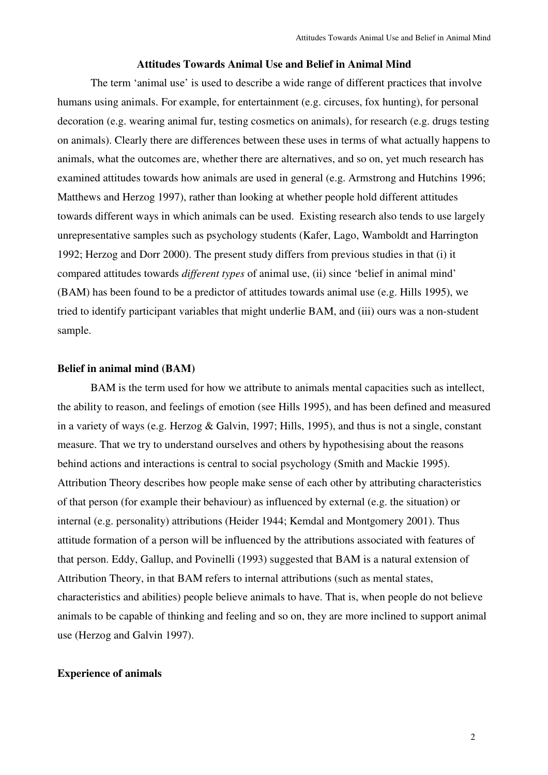#### **Attitudes Towards Animal Use and Belief in Animal Mind**

The term 'animal use' is used to describe a wide range of different practices that involve humans using animals. For example, for entertainment (e.g. circuses, fox hunting), for personal decoration (e.g. wearing animal fur, testing cosmetics on animals), for research (e.g. drugs testing on animals). Clearly there are differences between these uses in terms of what actually happens to animals, what the outcomes are, whether there are alternatives, and so on, yet much research has examined attitudes towards how animals are used in general (e.g. Armstrong and Hutchins 1996; Matthews and Herzog 1997), rather than looking at whether people hold different attitudes towards different ways in which animals can be used. Existing research also tends to use largely unrepresentative samples such as psychology students (Kafer, Lago, Wamboldt and Harrington 1992; Herzog and Dorr 2000). The present study differs from previous studies in that (i) it compared attitudes towards *different types* of animal use, (ii) since 'belief in animal mind' (BAM) has been found to be a predictor of attitudes towards animal use (e.g. Hills 1995), we tried to identify participant variables that might underlie BAM, and (iii) ours was a non-student sample.

#### **Belief in animal mind (BAM)**

BAM is the term used for how we attribute to animals mental capacities such as intellect, the ability to reason, and feelings of emotion (see Hills 1995), and has been defined and measured in a variety of ways (e.g. Herzog & Galvin, 1997; Hills, 1995), and thus is not a single, constant measure. That we try to understand ourselves and others by hypothesising about the reasons behind actions and interactions is central to social psychology (Smith and Mackie 1995). Attribution Theory describes how people make sense of each other by attributing characteristics of that person (for example their behaviour) as influenced by external (e.g. the situation) or internal (e.g. personality) attributions (Heider 1944; Kemdal and Montgomery 2001). Thus attitude formation of a person will be influenced by the attributions associated with features of that person. Eddy, Gallup, and Povinelli (1993) suggested that BAM is a natural extension of Attribution Theory, in that BAM refers to internal attributions (such as mental states, characteristics and abilities) people believe animals to have. That is, when people do not believe animals to be capable of thinking and feeling and so on, they are more inclined to support animal use (Herzog and Galvin 1997).

# **Experience of animals**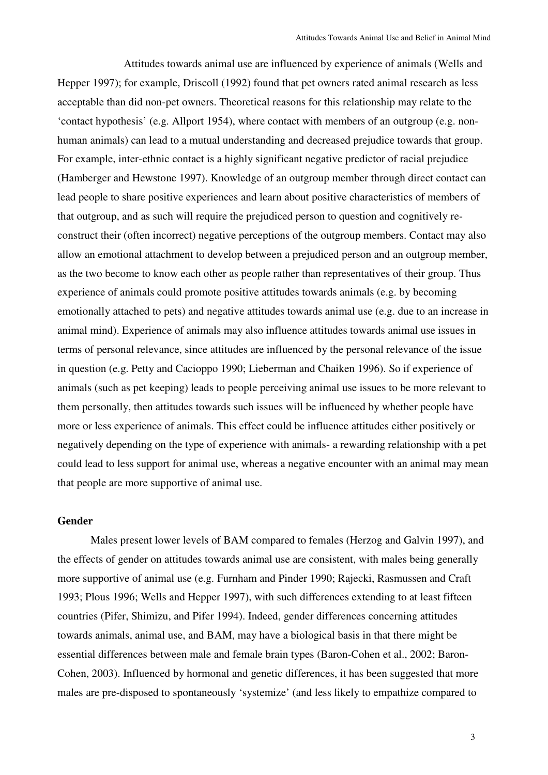Attitudes towards animal use are influenced by experience of animals (Wells and Hepper 1997); for example, Driscoll (1992) found that pet owners rated animal research as less acceptable than did non-pet owners. Theoretical reasons for this relationship may relate to the 'contact hypothesis' (e.g. Allport 1954), where contact with members of an outgroup (e.g. nonhuman animals) can lead to a mutual understanding and decreased prejudice towards that group. For example, inter-ethnic contact is a highly significant negative predictor of racial prejudice (Hamberger and Hewstone 1997). Knowledge of an outgroup member through direct contact can lead people to share positive experiences and learn about positive characteristics of members of that outgroup, and as such will require the prejudiced person to question and cognitively reconstruct their (often incorrect) negative perceptions of the outgroup members. Contact may also allow an emotional attachment to develop between a prejudiced person and an outgroup member, as the two become to know each other as people rather than representatives of their group. Thus experience of animals could promote positive attitudes towards animals (e.g. by becoming emotionally attached to pets) and negative attitudes towards animal use (e.g. due to an increase in animal mind). Experience of animals may also influence attitudes towards animal use issues in terms of personal relevance, since attitudes are influenced by the personal relevance of the issue in question (e.g. Petty and Cacioppo 1990; Lieberman and Chaiken 1996). So if experience of animals (such as pet keeping) leads to people perceiving animal use issues to be more relevant to them personally, then attitudes towards such issues will be influenced by whether people have more or less experience of animals. This effect could be influence attitudes either positively or negatively depending on the type of experience with animals- a rewarding relationship with a pet could lead to less support for animal use, whereas a negative encounter with an animal may mean that people are more supportive of animal use.

#### **Gender**

Males present lower levels of BAM compared to females (Herzog and Galvin 1997), and the effects of gender on attitudes towards animal use are consistent, with males being generally more supportive of animal use (e.g. Furnham and Pinder 1990; Rajecki, Rasmussen and Craft 1993; Plous 1996; Wells and Hepper 1997), with such differences extending to at least fifteen countries (Pifer, Shimizu, and Pifer 1994). Indeed, gender differences concerning attitudes towards animals, animal use, and BAM, may have a biological basis in that there might be essential differences between male and female brain types (Baron-Cohen et al., 2002; Baron-Cohen, 2003). Influenced by hormonal and genetic differences, it has been suggested that more males are pre-disposed to spontaneously 'systemize' (and less likely to empathize compared to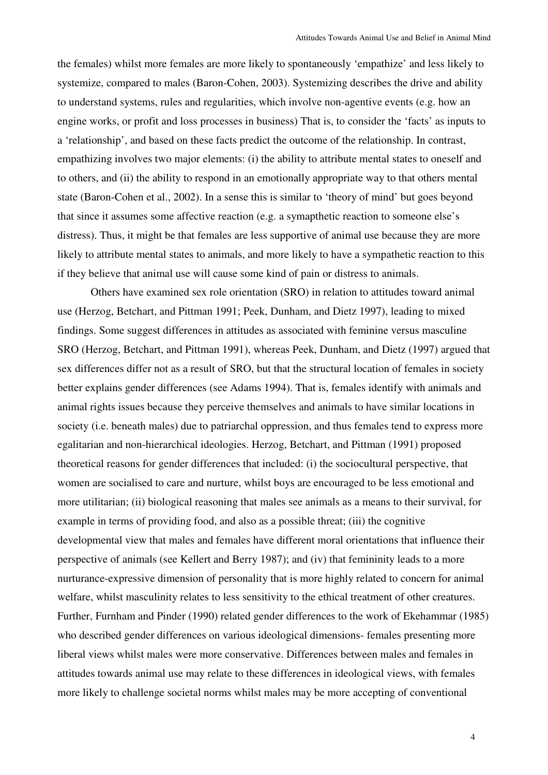the females) whilst more females are more likely to spontaneously 'empathize' and less likely to systemize, compared to males (Baron-Cohen, 2003). Systemizing describes the drive and ability to understand systems, rules and regularities, which involve non-agentive events (e.g. how an engine works, or profit and loss processes in business) That is, to consider the 'facts' as inputs to a 'relationship', and based on these facts predict the outcome of the relationship. In contrast, empathizing involves two major elements: (i) the ability to attribute mental states to oneself and to others, and (ii) the ability to respond in an emotionally appropriate way to that others mental state (Baron-Cohen et al., 2002). In a sense this is similar to 'theory of mind' but goes beyond that since it assumes some affective reaction (e.g. a symapthetic reaction to someone else's distress). Thus, it might be that females are less supportive of animal use because they are more likely to attribute mental states to animals, and more likely to have a sympathetic reaction to this if they believe that animal use will cause some kind of pain or distress to animals.

Others have examined sex role orientation (SRO) in relation to attitudes toward animal use (Herzog, Betchart, and Pittman 1991; Peek, Dunham, and Dietz 1997), leading to mixed findings. Some suggest differences in attitudes as associated with feminine versus masculine SRO (Herzog, Betchart, and Pittman 1991), whereas Peek, Dunham, and Dietz (1997) argued that sex differences differ not as a result of SRO, but that the structural location of females in society better explains gender differences (see Adams 1994). That is, females identify with animals and animal rights issues because they perceive themselves and animals to have similar locations in society (i.e. beneath males) due to patriarchal oppression, and thus females tend to express more egalitarian and non-hierarchical ideologies. Herzog, Betchart, and Pittman (1991) proposed theoretical reasons for gender differences that included: (i) the sociocultural perspective, that women are socialised to care and nurture, whilst boys are encouraged to be less emotional and more utilitarian; (ii) biological reasoning that males see animals as a means to their survival, for example in terms of providing food, and also as a possible threat; (iii) the cognitive developmental view that males and females have different moral orientations that influence their perspective of animals (see Kellert and Berry 1987); and (iv) that femininity leads to a more nurturance-expressive dimension of personality that is more highly related to concern for animal welfare, whilst masculinity relates to less sensitivity to the ethical treatment of other creatures. Further, Furnham and Pinder (1990) related gender differences to the work of Ekehammar (1985) who described gender differences on various ideological dimensions- females presenting more liberal views whilst males were more conservative. Differences between males and females in attitudes towards animal use may relate to these differences in ideological views, with females more likely to challenge societal norms whilst males may be more accepting of conventional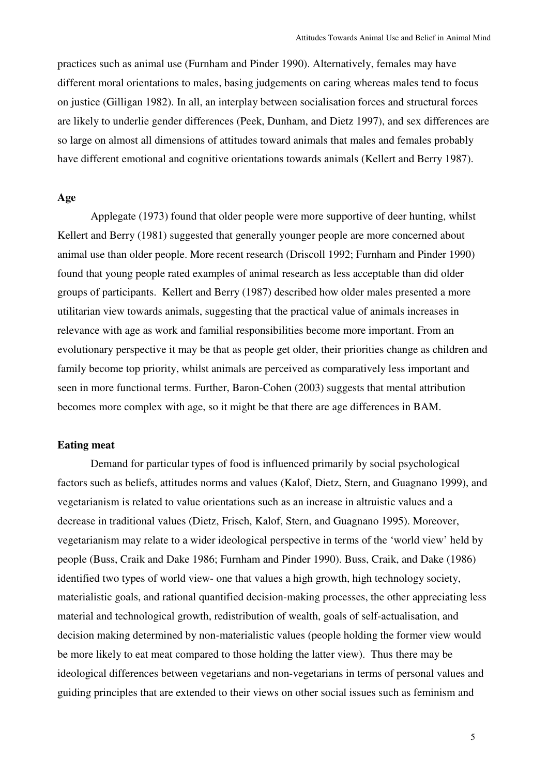practices such as animal use (Furnham and Pinder 1990). Alternatively, females may have different moral orientations to males, basing judgements on caring whereas males tend to focus on justice (Gilligan 1982). In all, an interplay between socialisation forces and structural forces are likely to underlie gender differences (Peek, Dunham, and Dietz 1997), and sex differences are so large on almost all dimensions of attitudes toward animals that males and females probably have different emotional and cognitive orientations towards animals (Kellert and Berry 1987).

# **Age**

Applegate (1973) found that older people were more supportive of deer hunting, whilst Kellert and Berry (1981) suggested that generally younger people are more concerned about animal use than older people. More recent research (Driscoll 1992; Furnham and Pinder 1990) found that young people rated examples of animal research as less acceptable than did older groups of participants. Kellert and Berry (1987) described how older males presented a more utilitarian view towards animals, suggesting that the practical value of animals increases in relevance with age as work and familial responsibilities become more important. From an evolutionary perspective it may be that as people get older, their priorities change as children and family become top priority, whilst animals are perceived as comparatively less important and seen in more functional terms. Further, Baron-Cohen (2003) suggests that mental attribution becomes more complex with age, so it might be that there are age differences in BAM.

# **Eating meat**

Demand for particular types of food is influenced primarily by social psychological factors such as beliefs, attitudes norms and values (Kalof, Dietz, Stern, and Guagnano 1999), and vegetarianism is related to value orientations such as an increase in altruistic values and a decrease in traditional values (Dietz, Frisch, Kalof, Stern, and Guagnano 1995). Moreover, vegetarianism may relate to a wider ideological perspective in terms of the 'world view' held by people (Buss, Craik and Dake 1986; Furnham and Pinder 1990). Buss, Craik, and Dake (1986) identified two types of world view- one that values a high growth, high technology society, materialistic goals, and rational quantified decision-making processes, the other appreciating less material and technological growth, redistribution of wealth, goals of self-actualisation, and decision making determined by non-materialistic values (people holding the former view would be more likely to eat meat compared to those holding the latter view). Thus there may be ideological differences between vegetarians and non-vegetarians in terms of personal values and guiding principles that are extended to their views on other social issues such as feminism and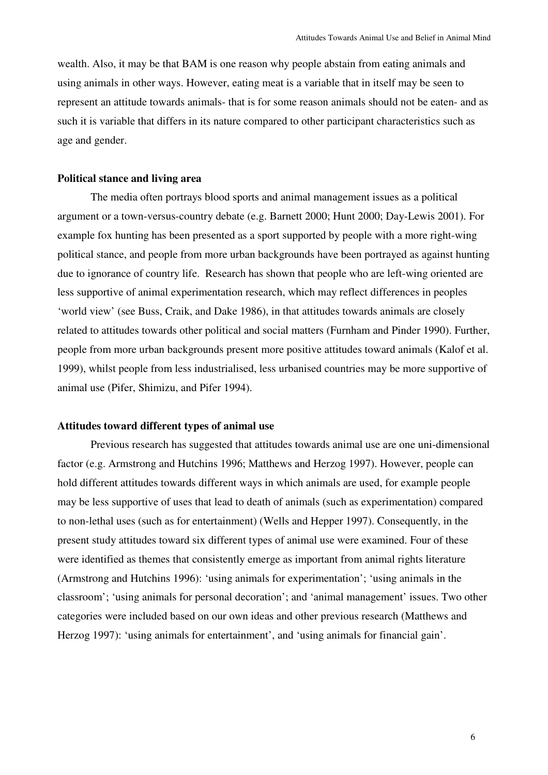wealth. Also, it may be that BAM is one reason why people abstain from eating animals and using animals in other ways. However, eating meat is a variable that in itself may be seen to represent an attitude towards animals- that is for some reason animals should not be eaten- and as such it is variable that differs in its nature compared to other participant characteristics such as age and gender.

#### **Political stance and living area**

The media often portrays blood sports and animal management issues as a political argument or a town-versus-country debate (e.g. Barnett 2000; Hunt 2000; Day-Lewis 2001). For example fox hunting has been presented as a sport supported by people with a more right-wing political stance, and people from more urban backgrounds have been portrayed as against hunting due to ignorance of country life. Research has shown that people who are left-wing oriented are less supportive of animal experimentation research, which may reflect differences in peoples 'world view' (see Buss, Craik, and Dake 1986), in that attitudes towards animals are closely related to attitudes towards other political and social matters (Furnham and Pinder 1990). Further, people from more urban backgrounds present more positive attitudes toward animals (Kalof et al. 1999), whilst people from less industrialised, less urbanised countries may be more supportive of animal use (Pifer, Shimizu, and Pifer 1994).

#### **Attitudes toward different types of animal use**

Previous research has suggested that attitudes towards animal use are one uni-dimensional factor (e.g. Armstrong and Hutchins 1996; Matthews and Herzog 1997). However, people can hold different attitudes towards different ways in which animals are used, for example people may be less supportive of uses that lead to death of animals (such as experimentation) compared to non-lethal uses (such as for entertainment) (Wells and Hepper 1997). Consequently, in the present study attitudes toward six different types of animal use were examined. Four of these were identified as themes that consistently emerge as important from animal rights literature (Armstrong and Hutchins 1996): 'using animals for experimentation'; 'using animals in the classroom'; 'using animals for personal decoration'; and 'animal management' issues. Two other categories were included based on our own ideas and other previous research (Matthews and Herzog 1997): 'using animals for entertainment', and 'using animals for financial gain'.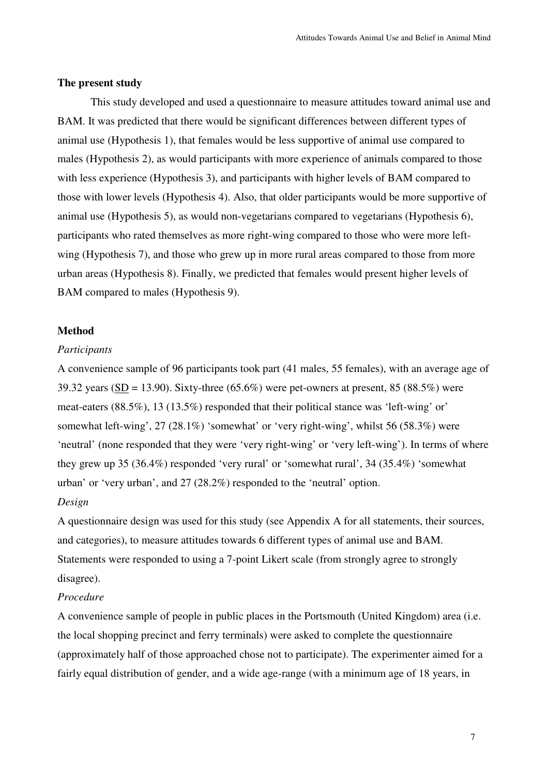# **The present study**

This study developed and used a questionnaire to measure attitudes toward animal use and BAM. It was predicted that there would be significant differences between different types of animal use (Hypothesis 1), that females would be less supportive of animal use compared to males (Hypothesis 2), as would participants with more experience of animals compared to those with less experience (Hypothesis 3), and participants with higher levels of BAM compared to those with lower levels (Hypothesis 4). Also, that older participants would be more supportive of animal use (Hypothesis 5), as would non-vegetarians compared to vegetarians (Hypothesis 6), participants who rated themselves as more right-wing compared to those who were more leftwing (Hypothesis 7), and those who grew up in more rural areas compared to those from more urban areas (Hypothesis 8). Finally, we predicted that females would present higher levels of BAM compared to males (Hypothesis 9).

### **Method**

#### *Participants*

A convenience sample of 96 participants took part (41 males, 55 females), with an average age of 39.32 years (SD = 13.90). Sixty-three (65.6%) were pet-owners at present, 85 (88.5%) were meat-eaters (88.5%), 13 (13.5%) responded that their political stance was 'left-wing' or' somewhat left-wing', 27 (28.1%) 'somewhat' or 'very right-wing', whilst 56 (58.3%) were 'neutral' (none responded that they were 'very right-wing' or 'very left-wing'). In terms of where they grew up 35 (36.4%) responded 'very rural' or 'somewhat rural', 34 (35.4%) 'somewhat urban' or 'very urban', and 27 (28.2%) responded to the 'neutral' option.

# *Design*

A questionnaire design was used for this study (see Appendix A for all statements, their sources, and categories), to measure attitudes towards 6 different types of animal use and BAM. Statements were responded to using a 7-point Likert scale (from strongly agree to strongly disagree).

#### *Procedure*

A convenience sample of people in public places in the Portsmouth (United Kingdom) area (i.e. the local shopping precinct and ferry terminals) were asked to complete the questionnaire (approximately half of those approached chose not to participate). The experimenter aimed for a fairly equal distribution of gender, and a wide age-range (with a minimum age of 18 years, in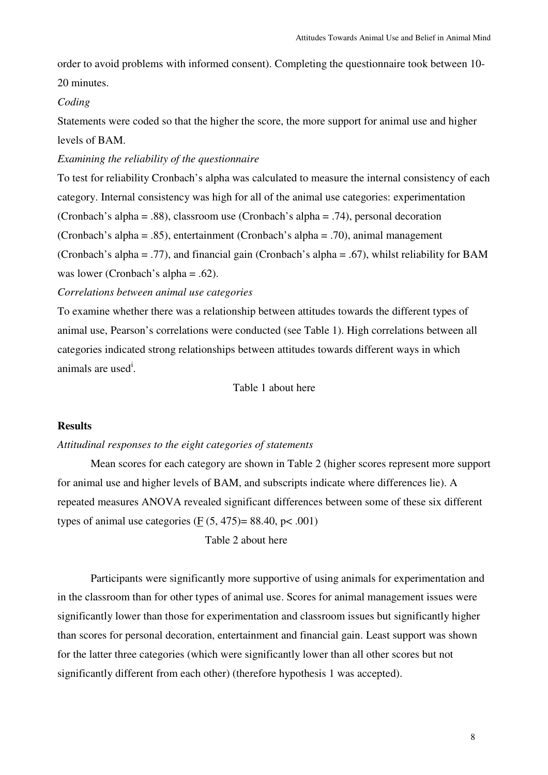order to avoid problems with informed consent). Completing the questionnaire took between 10- 20 minutes.

# *Coding*

Statements were coded so that the higher the score, the more support for animal use and higher levels of BAM.

# *Examining the reliability of the questionnaire*

To test for reliability Cronbach's alpha was calculated to measure the internal consistency of each category. Internal consistency was high for all of the animal use categories: experimentation (Cronbach's alpha = .88), classroom use (Cronbach's alpha = .74), personal decoration (Cronbach's alpha = .85), entertainment (Cronbach's alpha = .70), animal management (Cronbach's alpha = .77), and financial gain (Cronbach's alpha = .67), whilst reliability for BAM was lower (Cronbach's alpha = .62).

# *Correlations between animal use categories*

To examine whether there was a relationship between attitudes towards the different types of animal use, Pearson's correlations were conducted (see Table 1). High correlations between all categories indicated strong relationships between attitudes towards different ways in which animals are used<sup>i</sup>.

Table 1 about here

#### **Results**

# *Attitudinal responses to the eight categories of statements*

Mean scores for each category are shown in Table 2 (higher scores represent more support for animal use and higher levels of BAM, and subscripts indicate where differences lie). A repeated measures ANOVA revealed significant differences between some of these six different types of animal use categories (F  $(5, 475)$ = 88.40, p< .001)

Table 2 about here

Participants were significantly more supportive of using animals for experimentation and in the classroom than for other types of animal use. Scores for animal management issues were significantly lower than those for experimentation and classroom issues but significantly higher than scores for personal decoration, entertainment and financial gain. Least support was shown for the latter three categories (which were significantly lower than all other scores but not significantly different from each other) (therefore hypothesis 1 was accepted).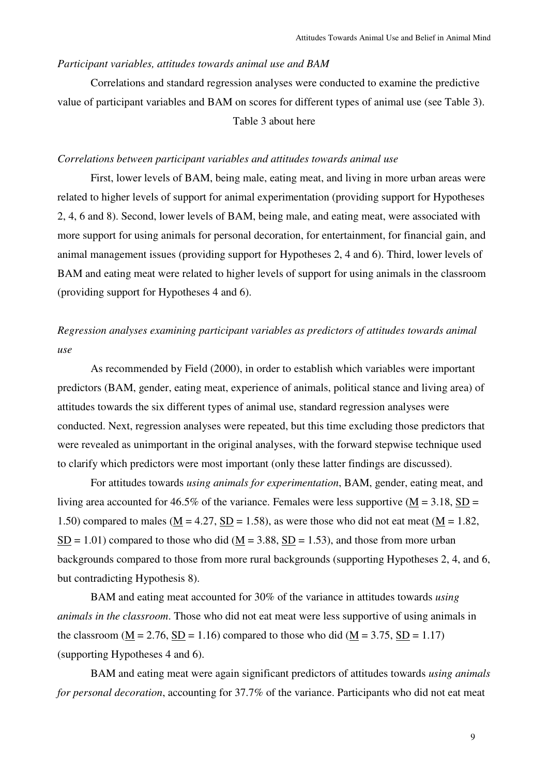#### *Participant variables, attitudes towards animal use and BAM*

Correlations and standard regression analyses were conducted to examine the predictive value of participant variables and BAM on scores for different types of animal use (see Table 3). Table 3 about here

# *Correlations between participant variables and attitudes towards animal use*

First, lower levels of BAM, being male, eating meat, and living in more urban areas were related to higher levels of support for animal experimentation (providing support for Hypotheses 2, 4, 6 and 8). Second, lower levels of BAM, being male, and eating meat, were associated with more support for using animals for personal decoration, for entertainment, for financial gain, and animal management issues (providing support for Hypotheses 2, 4 and 6). Third, lower levels of BAM and eating meat were related to higher levels of support for using animals in the classroom (providing support for Hypotheses 4 and 6).

*Regression analyses examining participant variables as predictors of attitudes towards animal use*

As recommended by Field (2000), in order to establish which variables were important predictors (BAM, gender, eating meat, experience of animals, political stance and living area) of attitudes towards the six different types of animal use, standard regression analyses were conducted. Next, regression analyses were repeated, but this time excluding those predictors that were revealed as unimportant in the original analyses, with the forward stepwise technique used to clarify which predictors were most important (only these latter findings are discussed).

For attitudes towards *using animals for experimentation*, BAM, gender, eating meat, and living area accounted for 46.5% of the variance. Females were less supportive ( $M = 3.18$ , SD = 1.50) compared to males ( $M = 4.27$ ,  $SD = 1.58$ ), as were those who did not eat meat ( $M = 1.82$ ,  $\underline{SD} = 1.01$ ) compared to those who did ( $\underline{M} = 3.88$ ,  $\underline{SD} = 1.53$ ), and those from more urban backgrounds compared to those from more rural backgrounds (supporting Hypotheses 2, 4, and 6, but contradicting Hypothesis 8).

BAM and eating meat accounted for 30% of the variance in attitudes towards *using animals in the classroom*. Those who did not eat meat were less supportive of using animals in the classroom ( $M = 2.76$ ,  $SD = 1.16$ ) compared to those who did ( $M = 3.75$ ,  $SD = 1.17$ ) (supporting Hypotheses 4 and 6).

BAM and eating meat were again significant predictors of attitudes towards *using animals for personal decoration*, accounting for 37.7% of the variance. Participants who did not eat meat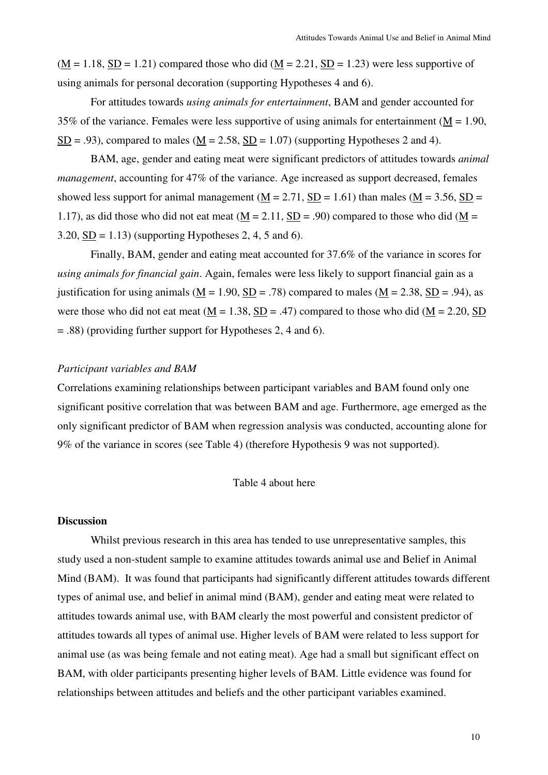$(M = 1.18, SD = 1.21)$  compared those who did  $(M = 2.21, SD = 1.23)$  were less supportive of using animals for personal decoration (supporting Hypotheses 4 and 6).

For attitudes towards *using animals for entertainment*, BAM and gender accounted for 35% of the variance. Females were less supportive of using animals for entertainment ( $M = 1.90$ ,  $SD = .93$ ), compared to males (M = 2.58, SD = 1.07) (supporting Hypotheses 2 and 4).

BAM, age, gender and eating meat were significant predictors of attitudes towards *animal management*, accounting for 47% of the variance. Age increased as support decreased, females showed less support for animal management ( $M = 2.71$ ,  $SD = 1.61$ ) than males ( $M = 3.56$ ,  $SD =$ 1.17), as did those who did not eat meat ( $M = 2.11$ ,  $SD = .90$ ) compared to those who did ( $M =$ 3.20,  $SD = 1.13$ ) (supporting Hypotheses 2, 4, 5 and 6).

Finally, BAM, gender and eating meat accounted for 37.6% of the variance in scores for *using animals for financial gain*. Again, females were less likely to support financial gain as a justification for using animals ( $M = 1.90$ ,  $SD = .78$ ) compared to males ( $M = 2.38$ ,  $SD = .94$ ), as were those who did not eat meat ( $M = 1.38$ ,  $SD = .47$ ) compared to those who did ( $M = 2.20$ , SD = .88) (providing further support for Hypotheses 2, 4 and 6).

#### *Participant variables and BAM*

Correlations examining relationships between participant variables and BAM found only one significant positive correlation that was between BAM and age. Furthermore, age emerged as the only significant predictor of BAM when regression analysis was conducted, accounting alone for 9% of the variance in scores (see Table 4) (therefore Hypothesis 9 was not supported).

#### Table 4 about here

# **Discussion**

Whilst previous research in this area has tended to use unrepresentative samples, this study used a non-student sample to examine attitudes towards animal use and Belief in Animal Mind (BAM). It was found that participants had significantly different attitudes towards different types of animal use, and belief in animal mind (BAM), gender and eating meat were related to attitudes towards animal use, with BAM clearly the most powerful and consistent predictor of attitudes towards all types of animal use. Higher levels of BAM were related to less support for animal use (as was being female and not eating meat). Age had a small but significant effect on BAM, with older participants presenting higher levels of BAM. Little evidence was found for relationships between attitudes and beliefs and the other participant variables examined.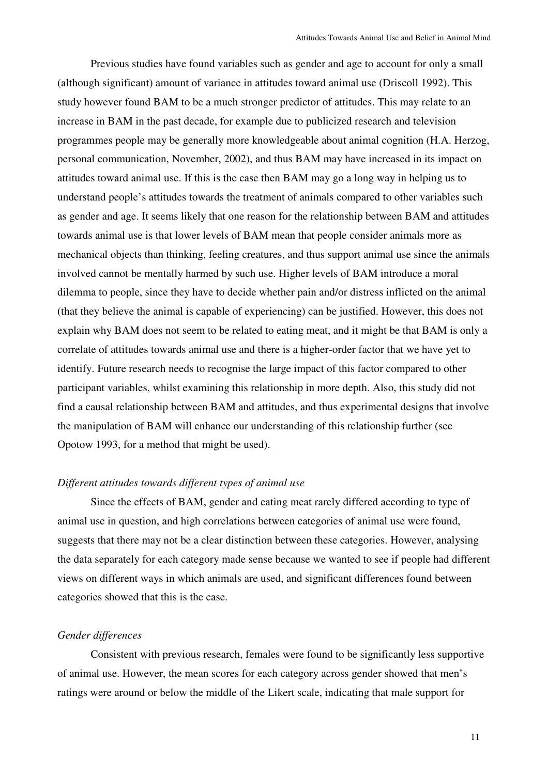Previous studies have found variables such as gender and age to account for only a small (although significant) amount of variance in attitudes toward animal use (Driscoll 1992). This study however found BAM to be a much stronger predictor of attitudes. This may relate to an increase in BAM in the past decade, for example due to publicized research and television programmes people may be generally more knowledgeable about animal cognition (H.A. Herzog, personal communication, November, 2002), and thus BAM may have increased in its impact on attitudes toward animal use. If this is the case then BAM may go a long way in helping us to understand people's attitudes towards the treatment of animals compared to other variables such as gender and age. It seems likely that one reason for the relationship between BAM and attitudes towards animal use is that lower levels of BAM mean that people consider animals more as mechanical objects than thinking, feeling creatures, and thus support animal use since the animals involved cannot be mentally harmed by such use. Higher levels of BAM introduce a moral dilemma to people, since they have to decide whether pain and/or distress inflicted on the animal (that they believe the animal is capable of experiencing) can be justified. However, this does not explain why BAM does not seem to be related to eating meat, and it might be that BAM is only a correlate of attitudes towards animal use and there is a higher-order factor that we have yet to identify. Future research needs to recognise the large impact of this factor compared to other participant variables, whilst examining this relationship in more depth. Also, this study did not find a causal relationship between BAM and attitudes, and thus experimental designs that involve the manipulation of BAM will enhance our understanding of this relationship further (see Opotow 1993, for a method that might be used).

#### *Different attitudes towards different types of animal use*

Since the effects of BAM, gender and eating meat rarely differed according to type of animal use in question, and high correlations between categories of animal use were found, suggests that there may not be a clear distinction between these categories. However, analysing the data separately for each category made sense because we wanted to see if people had different views on different ways in which animals are used, and significant differences found between categories showed that this is the case.

# *Gender differences*

Consistent with previous research, females were found to be significantly less supportive of animal use. However, the mean scores for each category across gender showed that men's ratings were around or below the middle of the Likert scale, indicating that male support for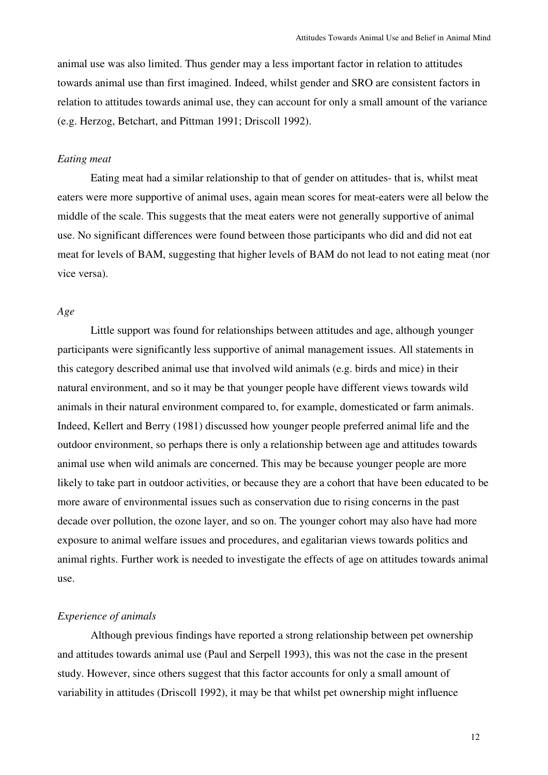animal use was also limited. Thus gender may a less important factor in relation to attitudes towards animal use than first imagined. Indeed, whilst gender and SRO are consistent factors in relation to attitudes towards animal use, they can account for only a small amount of the variance (e.g. Herzog, Betchart, and Pittman 1991; Driscoll 1992).

#### *Eating meat*

Eating meat had a similar relationship to that of gender on attitudes- that is, whilst meat eaters were more supportive of animal uses, again mean scores for meat-eaters were all below the middle of the scale. This suggests that the meat eaters were not generally supportive of animal use. No significant differences were found between those participants who did and did not eat meat for levels of BAM, suggesting that higher levels of BAM do not lead to not eating meat (nor vice versa).

# *Age*

Little support was found for relationships between attitudes and age, although younger participants were significantly less supportive of animal management issues. All statements in this category described animal use that involved wild animals (e.g. birds and mice) in their natural environment, and so it may be that younger people have different views towards wild animals in their natural environment compared to, for example, domesticated or farm animals. Indeed, Kellert and Berry (1981) discussed how younger people preferred animal life and the outdoor environment, so perhaps there is only a relationship between age and attitudes towards animal use when wild animals are concerned. This may be because younger people are more likely to take part in outdoor activities, or because they are a cohort that have been educated to be more aware of environmental issues such as conservation due to rising concerns in the past decade over pollution, the ozone layer, and so on. The younger cohort may also have had more exposure to animal welfare issues and procedures, and egalitarian views towards politics and animal rights. Further work is needed to investigate the effects of age on attitudes towards animal use.

#### *Experience of animals*

Although previous findings have reported a strong relationship between pet ownership and attitudes towards animal use (Paul and Serpell 1993), this was not the case in the present study. However, since others suggest that this factor accounts for only a small amount of variability in attitudes (Driscoll 1992), it may be that whilst pet ownership might influence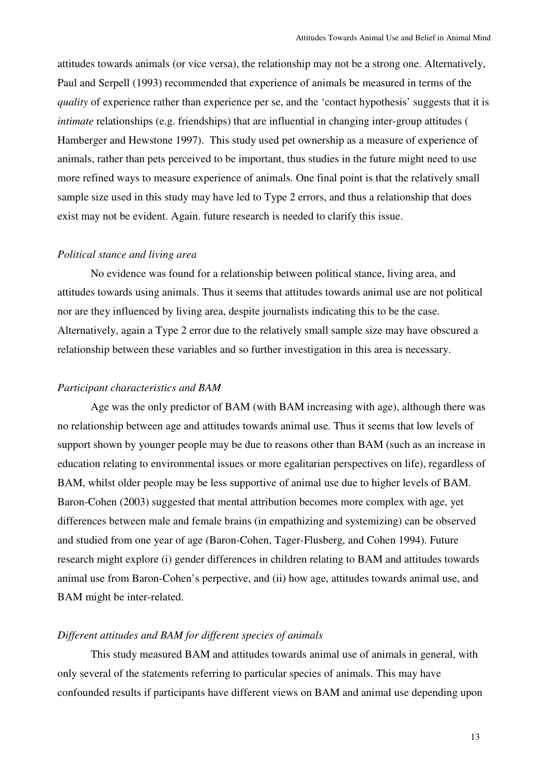attitudes towards animals (or vice versa), the relationship may not be a strong one. Alternatively, Paul and Serpell (1993) recommended that experience of animals be measured in terms of the *quality* of experience rather than experience per se, and the 'contact hypothesis' suggests that it is *intimate* relationships (e.g. friendships) that are influential in changing inter-group attitudes ( Hamberger and Hewstone 1997). This study used pet ownership as a measure of experience of animals, rather than pets perceived to be important, thus studies in the future might need to use more refined ways to measure experience of animals. One final point is that the relatively small sample size used in this study may have led to Type 2 errors, and thus a relationship that does exist may not be evident. Again. future research is needed to clarify this issue.

#### *Political stance and living area*

No evidence was found for a relationship between political stance, living area, and attitudes towards using animals. Thus it seems that attitudes towards animal use are not political nor are they influenced by living area, despite journalists indicating this to be the case. Alternatively, again a Type 2 error due to the relatively small sample size may have obscured a relationship between these variables and so further investigation in this area is necessary.

#### *Participant characteristics and BAM*

Age was the only predictor of BAM (with BAM increasing with age), although there was no relationship between age and attitudes towards animal use. Thus it seems that low levels of support shown by younger people may be due to reasons other than BAM (such as an increase in education relating to environmental issues or more egalitarian perspectives on life), regardless of BAM, whilst older people may be less supportive of animal use due to higher levels of BAM. Baron-Cohen (2003) suggested that mental attribution becomes more complex with age, yet differences between male and female brains (in empathizing and systemizing) can be observed and studied from one year of age (Baron-Cohen, Tager-Flusberg, and Cohen 1994). Future research might explore (i) gender differences in children relating to BAM and attitudes towards animal use from Baron-Cohen's perpective, and (ii) how age, attitudes towards animal use, and BAM might be inter-related.

# *Different attitudes and BAM for different species of animals*

This study measured BAM and attitudes towards animal use of animals in general, with only several of the statements referring to particular species of animals. This may have confounded results if participants have different views on BAM and animal use depending upon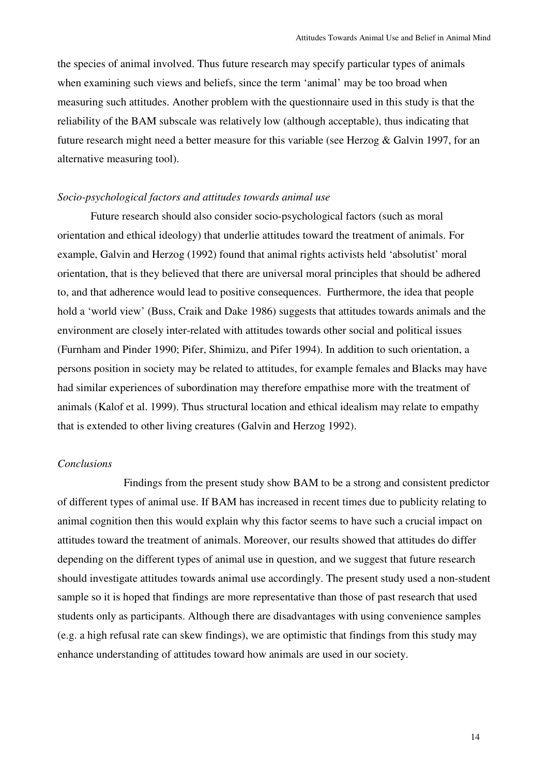the species of animal involved. Thus future research may specify particular types of animals when examining such views and beliefs, since the term 'animal' may be too broad when measuring such attitudes. Another problem with the questionnaire used in this study is that the reliability of the BAM subscale was relatively low (although acceptable), thus indicating that future research might need a better measure for this variable (see Herzog & Galvin 1997, for an alternative measuring tool).

# *Socio-psychological factors and attitudes towards animal use*

Future research should also consider socio-psychological factors (such as moral orientation and ethical ideology) that underlie attitudes toward the treatment of animals. For example, Galvin and Herzog (1992) found that animal rights activists held 'absolutist' moral orientation, that is they believed that there are universal moral principles that should be adhered to, and that adherence would lead to positive consequences. Furthermore, the idea that people hold a 'world view' (Buss, Craik and Dake 1986) suggests that attitudes towards animals and the environment are closely inter-related with attitudes towards other social and political issues (Furnham and Pinder 1990; Pifer, Shimizu, and Pifer 1994). In addition to such orientation, a persons position in society may be related to attitudes, for example females and Blacks may have had similar experiences of subordination may therefore empathise more with the treatment of animals (Kalof et al. 1999). Thus structural location and ethical idealism may relate to empathy that is extended to other living creatures (Galvin and Herzog 1992).

# *Conclusions*

Findings from the present study show BAM to be a strong and consistent predictor of different types of animal use. If BAM has increased in recent times due to publicity relating to animal cognition then this would explain why this factor seems to have such a crucial impact on attitudes toward the treatment of animals. Moreover, our results showed that attitudes do differ depending on the different types of animal use in question, and we suggest that future research should investigate attitudes towards animal use accordingly. The present study used a non-student sample so it is hoped that findings are more representative than those of past research that used students only as participants. Although there are disadvantages with using convenience samples (e.g. a high refusal rate can skew findings), we are optimistic that findings from this study may enhance understanding of attitudes toward how animals are used in our society.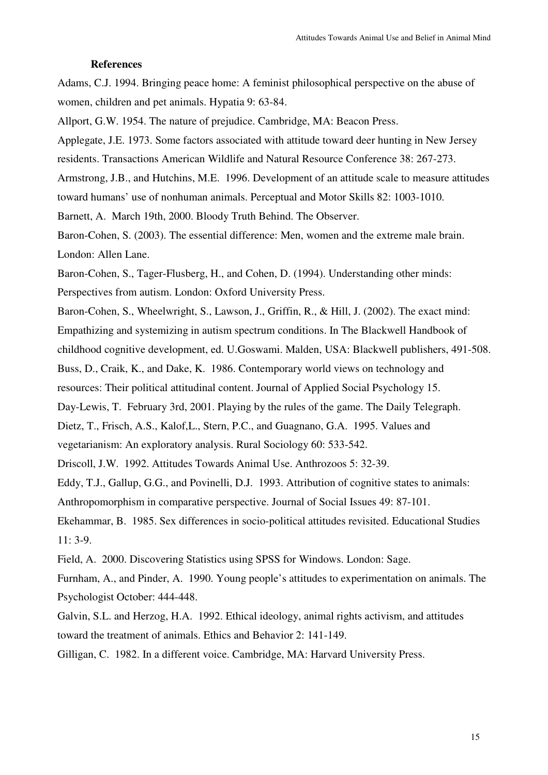#### **References**

Adams, C.J. 1994. Bringing peace home: A feminist philosophical perspective on the abuse of women, children and pet animals. Hypatia 9: 63-84.

Allport, G.W. 1954. The nature of prejudice. Cambridge, MA: Beacon Press.

Applegate, J.E. 1973. Some factors associated with attitude toward deer hunting in New Jersey residents. Transactions American Wildlife and Natural Resource Conference 38: 267-273.

Armstrong, J.B., and Hutchins, M.E. 1996. Development of an attitude scale to measure attitudes

toward humans' use of nonhuman animals. Perceptual and Motor Skills 82: 1003-1010.

Barnett, A. March 19th, 2000. Bloody Truth Behind. The Observer.

Baron-Cohen, S. (2003). The essential difference: Men, women and the extreme male brain. London: Allen Lane.

Baron-Cohen, S., Tager-Flusberg, H., and Cohen, D. (1994). Understanding other minds: Perspectives from autism. London: Oxford University Press.

Baron-Cohen, S., Wheelwright, S., Lawson, J., Griffin, R., & Hill, J. (2002). The exact mind:

Empathizing and systemizing in autism spectrum conditions. In The Blackwell Handbook of

childhood cognitive development, ed. U.Goswami. Malden, USA: Blackwell publishers, 491-508.

Buss, D., Craik, K., and Dake, K. 1986. Contemporary world views on technology and

resources: Their political attitudinal content. Journal of Applied Social Psychology 15.

Day-Lewis, T. February 3rd, 2001. Playing by the rules of the game. The Daily Telegraph.

Dietz, T., Frisch, A.S., Kalof,L., Stern, P.C., and Guagnano, G.A. 1995. Values and

vegetarianism: An exploratory analysis. Rural Sociology 60: 533-542.

Driscoll, J.W. 1992. Attitudes Towards Animal Use. Anthrozoos 5: 32-39.

Eddy, T.J., Gallup, G.G., and Povinelli, D.J. 1993. Attribution of cognitive states to animals:

Anthropomorphism in comparative perspective. Journal of Social Issues 49: 87-101.

Ekehammar, B. 1985. Sex differences in socio-political attitudes revisited. Educational Studies 11: 3-9.

Field, A. 2000. Discovering Statistics using SPSS for Windows. London: Sage.

Furnham, A., and Pinder, A. 1990. Young people's attitudes to experimentation on animals. The Psychologist October: 444-448.

Galvin, S.L. and Herzog, H.A. 1992. Ethical ideology, animal rights activism, and attitudes toward the treatment of animals. Ethics and Behavior 2: 141-149.

Gilligan, C. 1982. In a different voice. Cambridge, MA: Harvard University Press.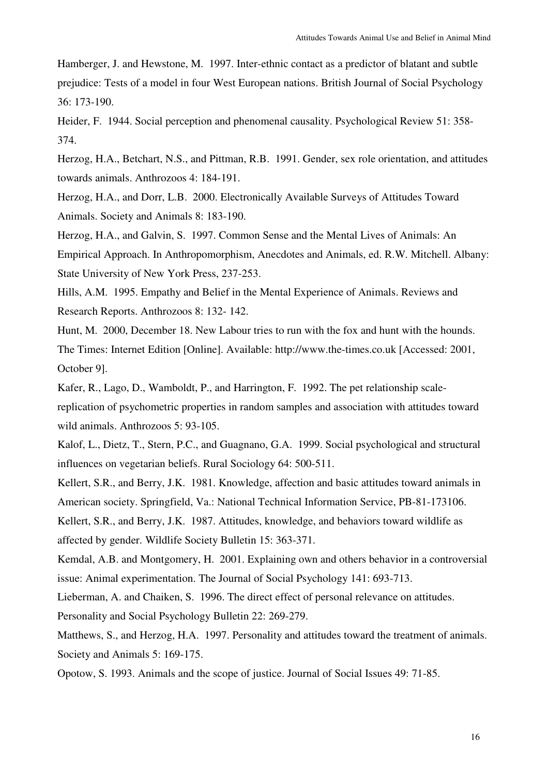Hamberger, J. and Hewstone, M. 1997. Inter-ethnic contact as a predictor of blatant and subtle prejudice: Tests of a model in four West European nations. British Journal of Social Psychology 36: 173-190.

Heider, F. 1944. Social perception and phenomenal causality. Psychological Review 51: 358- 374.

Herzog, H.A., Betchart, N.S., and Pittman, R.B. 1991. Gender, sex role orientation, and attitudes towards animals. Anthrozoos 4: 184-191.

Herzog, H.A., and Dorr, L.B. 2000. Electronically Available Surveys of Attitudes Toward Animals. Society and Animals 8: 183-190.

Herzog, H.A., and Galvin, S. 1997. Common Sense and the Mental Lives of Animals: An Empirical Approach. In Anthropomorphism, Anecdotes and Animals, ed. R.W. Mitchell. Albany: State University of New York Press, 237-253.

Hills, A.M. 1995. Empathy and Belief in the Mental Experience of Animals. Reviews and Research Reports. Anthrozoos 8: 132- 142.

Hunt, M. 2000, December 18. New Labour tries to run with the fox and hunt with the hounds. The Times: Internet Edition [Online]. Available: http://www.the-times.co.uk [Accessed: 2001, October 9].

Kafer, R., Lago, D., Wamboldt, P., and Harrington, F. 1992. The pet relationship scalereplication of psychometric properties in random samples and association with attitudes toward wild animals. Anthrozoos 5: 93-105.

Kalof, L., Dietz, T., Stern, P.C., and Guagnano, G.A. 1999. Social psychological and structural influences on vegetarian beliefs. Rural Sociology 64: 500-511.

Kellert, S.R., and Berry, J.K. 1981. Knowledge, affection and basic attitudes toward animals in American society. Springfield, Va.: National Technical Information Service, PB-81-173106.

Kellert, S.R., and Berry, J.K. 1987. Attitudes, knowledge, and behaviors toward wildlife as affected by gender. Wildlife Society Bulletin 15: 363-371.

Kemdal, A.B. and Montgomery, H. 2001. Explaining own and others behavior in a controversial issue: Animal experimentation. The Journal of Social Psychology 141: 693-713.

Lieberman, A. and Chaiken, S. 1996. The direct effect of personal relevance on attitudes. Personality and Social Psychology Bulletin 22: 269-279.

Matthews, S., and Herzog, H.A. 1997. Personality and attitudes toward the treatment of animals. Society and Animals 5: 169-175.

Opotow, S. 1993. Animals and the scope of justice. Journal of Social Issues 49: 71-85.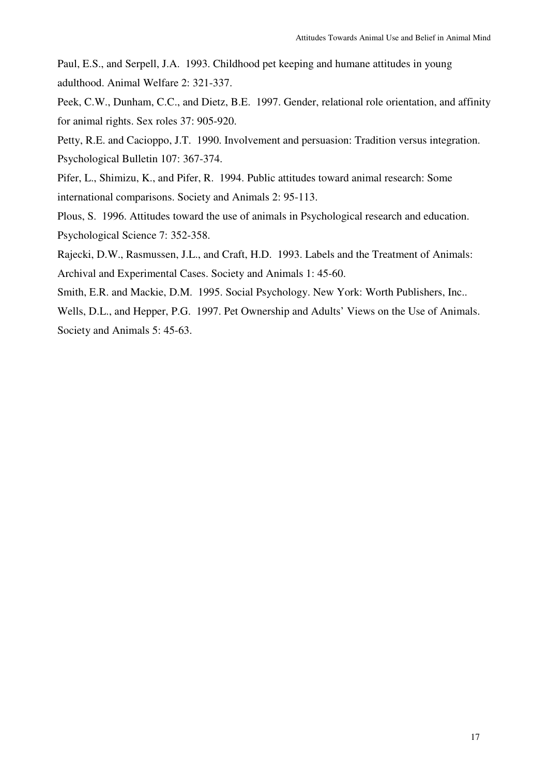Paul, E.S., and Serpell, J.A. 1993. Childhood pet keeping and humane attitudes in young adulthood. Animal Welfare 2: 321-337.

Peek, C.W., Dunham, C.C., and Dietz, B.E. 1997. Gender, relational role orientation, and affinity for animal rights. Sex roles 37: 905-920.

Petty, R.E. and Cacioppo, J.T. 1990. Involvement and persuasion: Tradition versus integration. Psychological Bulletin 107: 367-374.

Pifer, L., Shimizu, K., and Pifer, R. 1994. Public attitudes toward animal research: Some international comparisons. Society and Animals 2: 95-113.

Plous, S. 1996. Attitudes toward the use of animals in Psychological research and education. Psychological Science 7: 352-358.

Rajecki, D.W., Rasmussen, J.L., and Craft, H.D. 1993. Labels and the Treatment of Animals: Archival and Experimental Cases. Society and Animals 1: 45-60.

Smith, E.R. and Mackie, D.M. 1995. Social Psychology. New York: Worth Publishers, Inc..

Wells, D.L., and Hepper, P.G. 1997. Pet Ownership and Adults' Views on the Use of Animals. Society and Animals 5: 45-63.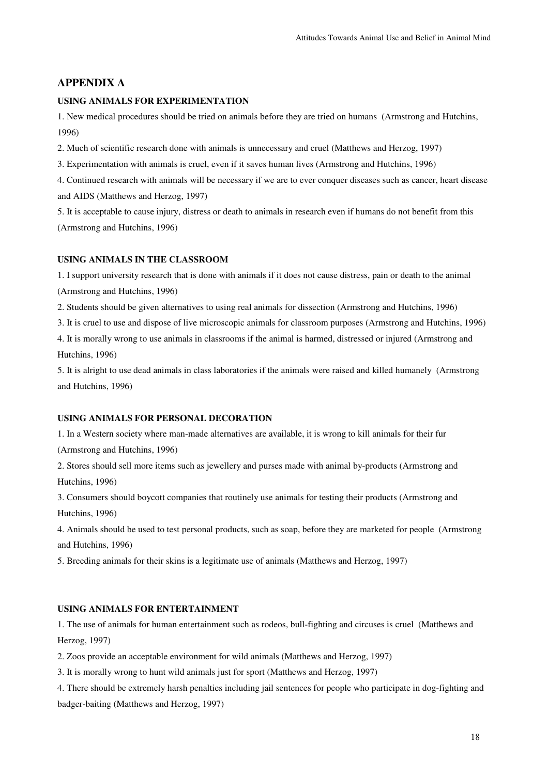#### **APPENDIX A**

#### **USING ANIMALS FOR EXPERIMENTATION**

1. New medical procedures should be tried on animals before they are tried on humans (Armstrong and Hutchins, 1996)

2. Much of scientific research done with animals is unnecessary and cruel (Matthews and Herzog, 1997)

3. Experimentation with animals is cruel, even if it saves human lives (Armstrong and Hutchins, 1996)

4. Continued research with animals will be necessary if we are to ever conquer diseases such as cancer, heart disease and AIDS (Matthews and Herzog, 1997)

5. It is acceptable to cause injury, distress or death to animals in research even if humans do not benefit from this (Armstrong and Hutchins, 1996)

#### **USING ANIMALS IN THE CLASSROOM**

1. I support university research that is done with animals if it does not cause distress, pain or death to the animal (Armstrong and Hutchins, 1996)

2. Students should be given alternatives to using real animals for dissection (Armstrong and Hutchins, 1996)

3. It is cruel to use and dispose of live microscopic animals for classroom purposes (Armstrong and Hutchins, 1996)

4. It is morally wrong to use animals in classrooms if the animal is harmed, distressed or injured (Armstrong and Hutchins, 1996)

5. It is alright to use dead animals in class laboratories if the animals were raised and killed humanely (Armstrong and Hutchins, 1996)

#### **USING ANIMALS FOR PERSONAL DECORATION**

1. In a Western society where man-made alternatives are available, it is wrong to kill animals for their fur (Armstrong and Hutchins, 1996)

2. Stores should sell more items such as jewellery and purses made with animal by-products (Armstrong and Hutchins, 1996)

3. Consumers should boycott companies that routinely use animals for testing their products (Armstrong and Hutchins, 1996)

4. Animals should be used to test personal products, such as soap, before they are marketed for people (Armstrong and Hutchins, 1996)

5. Breeding animals for their skins is a legitimate use of animals (Matthews and Herzog, 1997)

### **USING ANIMALS FOR ENTERTAINMENT**

1. The use of animals for human entertainment such as rodeos, bull-fighting and circuses is cruel (Matthews and Herzog, 1997)

2. Zoos provide an acceptable environment for wild animals (Matthews and Herzog, 1997)

3. It is morally wrong to hunt wild animals just for sport (Matthews and Herzog, 1997)

4. There should be extremely harsh penalties including jail sentences for people who participate in dog-fighting and badger-baiting (Matthews and Herzog, 1997)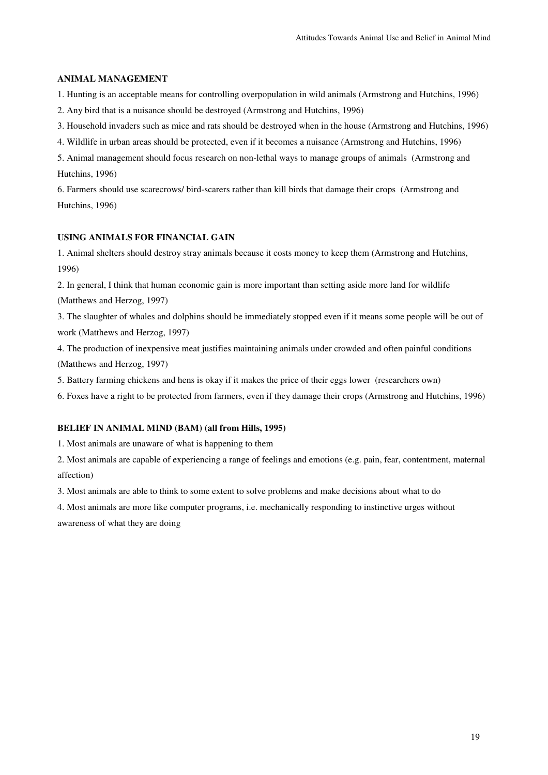#### **ANIMAL MANAGEMENT**

- 1. Hunting is an acceptable means for controlling overpopulation in wild animals (Armstrong and Hutchins, 1996)
- 2. Any bird that is a nuisance should be destroyed (Armstrong and Hutchins, 1996)
- 3. Household invaders such as mice and rats should be destroyed when in the house (Armstrong and Hutchins, 1996)
- 4. Wildlife in urban areas should be protected, even if it becomes a nuisance (Armstrong and Hutchins, 1996)
- 5. Animal management should focus research on non-lethal ways to manage groups of animals (Armstrong and Hutchins, 1996)

6. Farmers should use scarecrows/ bird-scarers rather than kill birds that damage their crops (Armstrong and Hutchins, 1996)

#### **USING ANIMALS FOR FINANCIAL GAIN**

1. Animal shelters should destroy stray animals because it costs money to keep them (Armstrong and Hutchins, 1996)

2. In general, I think that human economic gain is more important than setting aside more land for wildlife (Matthews and Herzog, 1997)

3. The slaughter of whales and dolphins should be immediately stopped even if it means some people will be out of work (Matthews and Herzog, 1997)

4. The production of inexpensive meat justifies maintaining animals under crowded and often painful conditions (Matthews and Herzog, 1997)

- 5. Battery farming chickens and hens is okay if it makes the price of their eggs lower (researchers own)
- 6. Foxes have a right to be protected from farmers, even if they damage their crops (Armstrong and Hutchins, 1996)

#### **BELIEF IN ANIMAL MIND (BAM) (all from Hills, 1995)**

1. Most animals are unaware of what is happening to them

2. Most animals are capable of experiencing a range of feelings and emotions (e.g. pain, fear, contentment, maternal affection)

3. Most animals are able to think to some extent to solve problems and make decisions about what to do

4. Most animals are more like computer programs, i.e. mechanically responding to instinctive urges without awareness of what they are doing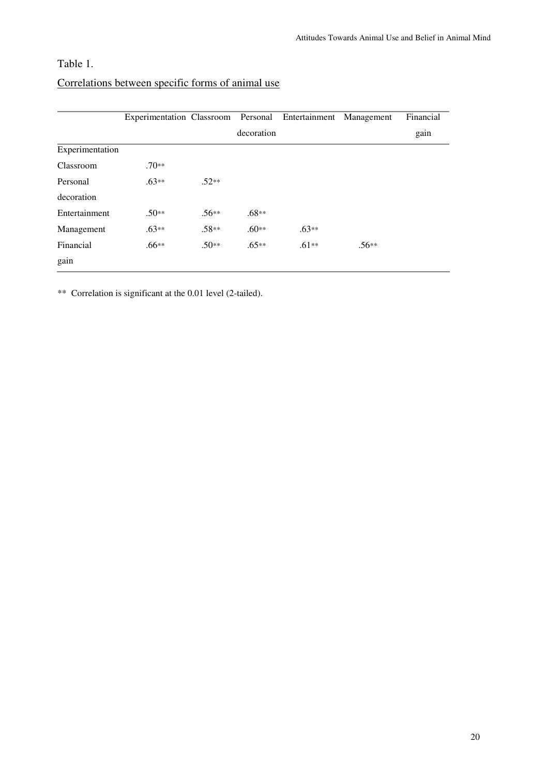# Table 1.

|                 | Experimentation Classroom |         | Personal   | Entertainment | Management | Financial |
|-----------------|---------------------------|---------|------------|---------------|------------|-----------|
|                 |                           |         | decoration |               |            | gain      |
| Experimentation |                           |         |            |               |            |           |
| Classroom       | $.70**$                   |         |            |               |            |           |
| Personal        | $.63**$                   | $.52**$ |            |               |            |           |
| decoration      |                           |         |            |               |            |           |
| Entertainment   | $.50**$                   | $.56**$ | $.68**$    |               |            |           |
| Management      | $.63**$                   | $.58**$ | $.60**$    | $.63**$       |            |           |
| Financial       | $.66**$                   | $.50**$ | $.65**$    | $.61**$       | $.56**$    |           |
| gain            |                           |         |            |               |            |           |

# Correlations between specific forms of animal use

\*\* Correlation is significant at the 0.01 level (2-tailed).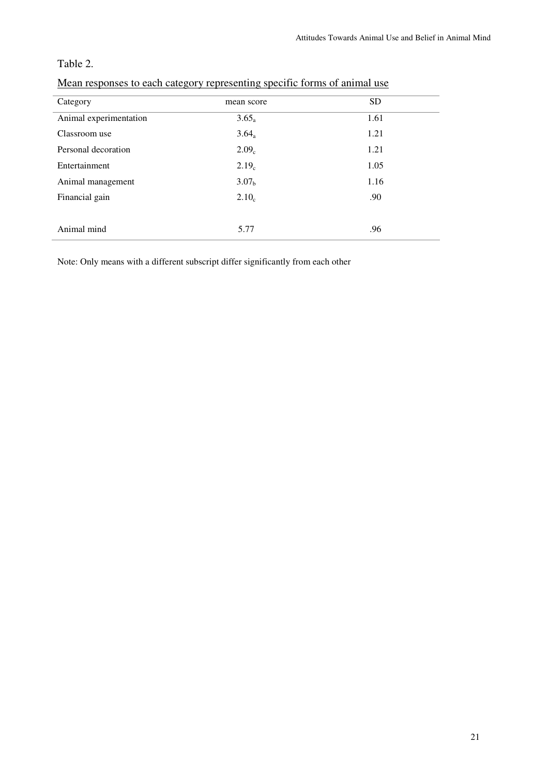# Table 2.

|--|

| Category               | mean score        | <b>SD</b> |
|------------------------|-------------------|-----------|
| Animal experimentation | $3.65_a$          | 1.61      |
| Classroom use          | $3.64_a$          | 1.21      |
| Personal decoration    | 2.09 <sub>c</sub> | 1.21      |
| Entertainment          | 2.19 <sub>c</sub> | 1.05      |
| Animal management      | 3.07 <sub>b</sub> | 1.16      |
| Financial gain         | 2.10 <sub>c</sub> | .90       |
|                        |                   |           |
| Animal mind            | 5.77              | .96       |

Note: Only means with a different subscript differ significantly from each other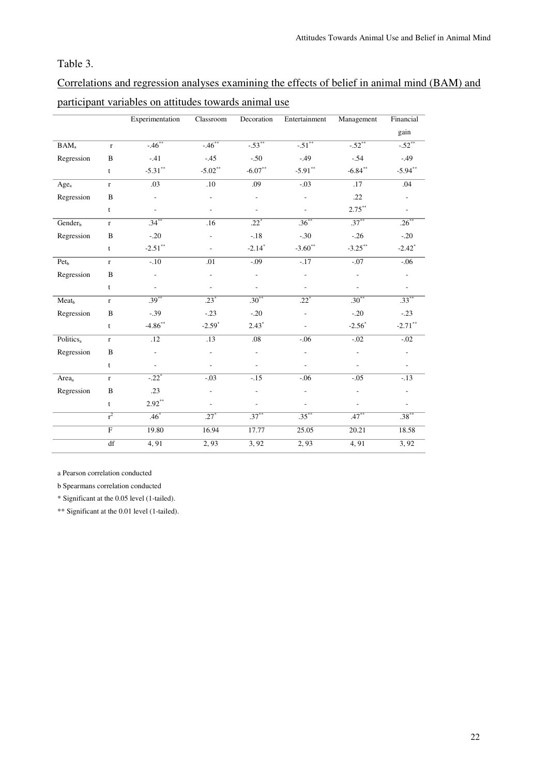# Table 3.

Correlations and regression analyses examining the effects of belief in animal mind (BAM) and participant variables on attitudes towards animal use

|                             |                | Experimentation     | Classroom        | Decoration           | Entertainment            | Management          | Financial                |
|-----------------------------|----------------|---------------------|------------------|----------------------|--------------------------|---------------------|--------------------------|
|                             |                |                     |                  |                      |                          |                     | gain                     |
| $\mathbf{BAM}_{\mathrm{a}}$ | $\mathbf r$    | $-46^{**}$          | $-46^{**}$       | $-0.53***$           | $-51^{**}$               | $-52^{**}$          | $-52^{**}$               |
| Regression                  | $\, {\bf B}$   | $-.41$              | $-.45$           | $-.50$               | $-.49$                   | $-.54$              | $-.49$                   |
|                             | $\mathbf{t}$   | $-5.31***$          | $-5.02$ **       | $-6.07**$            | $-5.91**$                | $-6.84***$          | $-5.94**$                |
| $Age_a$                     | $\mathbf r$    | .03                 | $\overline{.10}$ | .09                  | $-0.03$                  | .17                 | .04                      |
| Regression                  | B              | ÷,                  |                  | $\overline{a}$       | $\overline{\phantom{a}}$ | .22                 | $\overline{\phantom{0}}$ |
|                             | t              | ÷                   |                  |                      |                          | $2.75***$           | $\overline{a}$           |
| Gender <sub>b</sub>         | $\mathbf{r}$   | $.34***$            | .16              | $.22*$               | $.36***$                 | $.37***$            | $.26***$                 |
| Regression                  | $\, {\bf B}$   | $-.20$              |                  | $-.18$               | $-.30$                   | $-.26$              | $-.20$                   |
|                             | $\mathbf t$    | $-2.51$ **          |                  | $-2.14$ <sup>*</sup> | $-3.60**$                | $-3.25***$          | $-2.42$ <sup>*</sup>     |
| $Pet_b$                     | $\mathbf{r}$   | $-10$               | .01              | $-0.09$              | $-17$                    | $-0.07$             | $-.06$                   |
| Regression                  | $\, {\bf B}$   | $\overline{a}$      |                  | $\overline{a}$       |                          |                     |                          |
|                             | $\mathbf t$    | $\overline{a}$      |                  | $\overline{a}$       | $\overline{a}$           | $\overline{a}$      | $\overline{\phantom{a}}$ |
| Meat <sub>h</sub>           | $\mathbf r$    | $.39***$            | $.23*$           | $.30**$              | $.22*$                   | $.30***$            | $.33***$                 |
| Regression                  | $\, {\bf B}$   | $-.39$              | $-.23$           | $-.20$               | $\overline{\phantom{a}}$ | $-.20$              | $-.23$                   |
|                             | $\mathbf t$    | $-4.86$ **          | $-2.59*$         | $2.43*$              |                          | $-2.56^*$           | $-2.71$ **               |
| Politics <sub>a</sub>       | $\mathbf r$    | $\overline{.12}$    | .13              | .08                  | $-.06$                   | $-0.02$             | $-.02$                   |
| Regression                  | $\, {\bf B}$   | ÷,                  |                  | $\overline{a}$       | $\overline{\phantom{a}}$ | $\overline{a}$      | $\overline{\phantom{0}}$ |
|                             | t              |                     |                  |                      |                          |                     |                          |
| Area <sub>a</sub>           | $\mathbf r$    | $-.22$ <sup>*</sup> | $-.03$           | $-.15$               | $-.06$                   | $-.05$              | $-.13$                   |
| Regression                  | $\, {\bf B}$   | .23                 |                  |                      |                          |                     |                          |
|                             | $\mathbf{t}$   | $2.92**$            |                  |                      |                          |                     |                          |
|                             | $r^2$          | $.46^*$             | $.27*$           | $.37^{*}$            | $.35^{*}$                | $.47$ <sup>**</sup> | $.38^{**}$               |
|                             | $\overline{F}$ | 19.80               | 16.94            | 17.77                | 25.05                    | 20.21               | 18.58                    |
|                             | df             | 4,91                | 2,93             | 3,92                 | 2,93                     | 4,91                | 3,92                     |

a Pearson correlation conducted

b Spearmans correlation conducted

\* Significant at the 0.05 level (1-tailed).

\*\* Significant at the 0.01 level (1-tailed).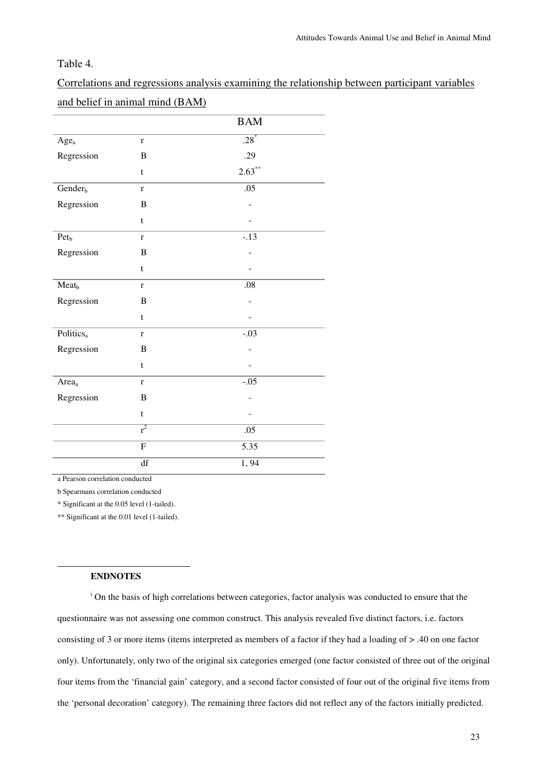# Table 4.

Correlations and regressions analysis examining the relationship between participant variables

# and belief in animal mind (BAM)

|                       |                          | <b>BAM</b>        |
|-----------------------|--------------------------|-------------------|
| $Age_a$               | $\mathbf r$              | $.28*$            |
| Regression            | $\, {\bf B}$             | .29               |
|                       | $\mathbf t$              | $2.63***$         |
| Gender <sub>b</sub>   | $\mathbf r$              | .05               |
| Regression            | $\, {\bf B}$             |                   |
|                       | $\mathfrak{t}$           |                   |
| $Pet_b$               | $\mathbf r$              | $-13$             |
| Regression            | $\overline{B}$           |                   |
|                       | t                        |                   |
| $Meat_b$              | $\mathbf r$              | $.08\,$           |
| Regression            | B                        |                   |
|                       | $\mathfrak{t}$           |                   |
| Politics <sub>a</sub> | $\mathbf r$              | $-0.03$           |
| Regression            | B                        |                   |
|                       | $\mathfrak{t}$           |                   |
| Area <sub>a</sub>     | $\mathbf r$              | $-0.05$           |
| Regression            | $\, {\bf B}$             |                   |
|                       | $\mathfrak{t}$           |                   |
|                       | $\overline{r^2}$         | .05               |
|                       | $\overline{F}$           | $\overline{5.35}$ |
|                       | $\overline{\mathrm{df}}$ | 1,94              |

a Pearson correlation conducted

b Spearmans correlation conducted

\* Significant at the 0.05 level (1-tailed).

\*\* Significant at the 0.01 level (1-tailed).

#### **ENDNOTES**

<sup>i</sup> On the basis of high correlations between categories, factor analysis was conducted to ensure that the questionnaire was not assessing one common construct. This analysis revealed five distinct factors, i.e. factors consisting of 3 or more items (items interpreted as members of a factor if they had a loading of > .40 on one factor only). Unfortunately, only two of the original six categories emerged (one factor consisted of three out of the original four items from the 'financial gain' category, and a second factor consisted of four out of the original five items from the 'personal decoration' category). The remaining three factors did not reflect any of the factors initially predicted.